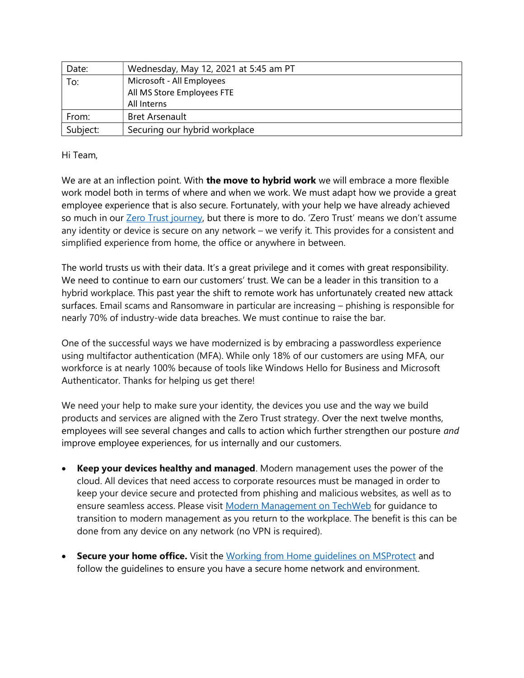| Date:    | Wednesday, May 12, 2021 at 5:45 am PT |
|----------|---------------------------------------|
| To:      | Microsoft - All Employees             |
|          | All MS Store Employees FTE            |
|          | All Interns                           |
| From:    | <b>Bret Arsenault</b>                 |
| Subject: | Securing our hybrid workplace         |

Hi Team,

We are at an inflection point. With the move to hybrid work we will embrace a more flexible work model both in terms of where and when we work. We must adapt how we provide a great employee experience that is also secure. Fortunately, with your help we have already achieved so much in our Zero Trust journey, but there is more to do. 'Zero Trust' means we don't assume any identity or device is secure on any network – we verify it. This provides for a consistent and simplified experience from home, the office or anywhere in between.

The world trusts us with their data. It's a great privilege and it comes with great responsibility. We need to continue to earn our customers' trust. We can be a leader in this transition to a hybrid workplace. This past year the shift to remote work has unfortunately created new attack surfaces. Email scams and Ransomware in particular are increasing – phishing is responsible for nearly 70% of industry-wide data breaches. We must continue to raise the bar.

One of the successful ways we have modernized is by embracing a passwordless experience using multifactor authentication (MFA). While only 18% of our customers are using MFA, our workforce is at nearly 100% because of tools like Windows Hello for Business and Microsoft Authenticator. Thanks for helping us get there!

We need your help to make sure your identity, the devices you use and the way we build products and services are aligned with the Zero Trust strategy. Over the next twelve months, employees will see several changes and calls to action which further strengthen our posture and improve employee experiences, for us internally and our customers.

- Keep your devices healthy and managed. Modern management uses the power of the cloud. All devices that need access to corporate resources must be managed in order to keep your device secure and protected from phishing and malicious websites, as well as to ensure seamless access. Please visit Modern Management on TechWeb for guidance to transition to modern management as you return to the workplace. The benefit is this can be done from any device on any network (no VPN is required).
- **Secure your home office.** Visit the Working from Home guidelines on MSProtect and follow the guidelines to ensure you have a secure home network and environment.